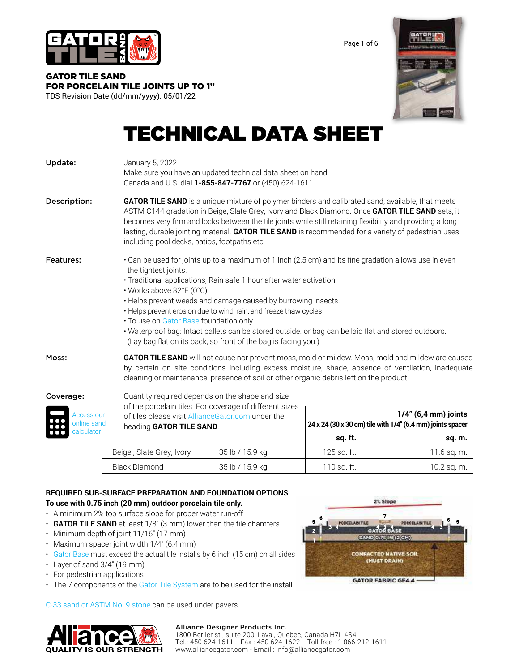

Page 1 of 6

#### GATOR TILE SAND [FOR PORCELAIN TILE JOINTS UP TO 1"](https://alliancegator.com/gator-jointing-material/gator-tile-sand/) TDS Revision Date (dd/mm/yyyy): 05/01/22

# TECHNICAL DATA SHEET

| Update:                 | January 5, 2022<br>Make sure you have an updated technical data sheet on hand.<br>Canada and U.S. dial 1-855-847-7767 or (450) 624-1611                                                                                                                                                                                                                                                                                                                                                                                                                                                    |  |  |  |
|-------------------------|--------------------------------------------------------------------------------------------------------------------------------------------------------------------------------------------------------------------------------------------------------------------------------------------------------------------------------------------------------------------------------------------------------------------------------------------------------------------------------------------------------------------------------------------------------------------------------------------|--|--|--|
| Description:            | <b>GATOR TILE SAND</b> is a unique mixture of polymer binders and calibrated sand, available, that meets<br>ASTM C144 gradation in Beige, Slate Grey, Ivory and Black Diamond. Once GATOR TILE SAND sets, it<br>becomes very firm and locks between the tile joints while still retaining flexibility and providing a long<br>lasting, durable jointing material. <b>GATOR TILE SAND</b> is recommended for a variety of pedestrian uses<br>including pool decks, patios, footpaths etc.                                                                                                   |  |  |  |
| <b>Features:</b>        | • Can be used for joints up to a maximum of 1 inch (2.5 cm) and its fine gradation allows use in even<br>the tightest joints.<br>• Traditional applications, Rain safe 1 hour after water activation<br>• Works above 32°F (0°C)<br>. Helps prevent weeds and damage caused by burrowing insects.<br>• Helps prevent erosion due to wind, rain, and freeze thaw cycles<br>• To use on Gator Base foundation only<br>· Waterproof bag: Intact pallets can be stored outside. or bag can be laid flat and stored outdoors.<br>(Lay bag flat on its back, so front of the bag is facing you.) |  |  |  |
| Moss:                   | GATOR TILE SAND will not cause nor prevent moss, mold or mildew. Moss, mold and mildew are caused<br>by certain on site conditions including excess moisture, shade, absence of ventilation, inadequate<br>cleaning or maintenance, presence of soil or other organic debris left on the product.                                                                                                                                                                                                                                                                                          |  |  |  |
| Coverage:<br>Access our | Quantity required depends on the shape and size<br>of the porcelain tiles. For coverage of different sizes<br>$1/4$ " (6,4 mm) joints<br>of tiles please visit AllianceGator.com under the                                                                                                                                                                                                                                                                                                                                                                                                 |  |  |  |



of tiles please visit [AllianceGator.com](https://alliancegator.com/) under the  **1/4" (6,4 mm) joints** heading **GATOR TILE SAND**.  **24 x 24 (30 x 30 cm) tile with 1/4'' (6.4 mm) joints spacer sq. ft. sq. m.**  Beige , Slate Grey, Ivory 35 lb / 15.9 kg 125 sq. ft. 125 sq. ft. 11.6 sq. m.

Black Diamond 35 lb / 15.9 kg 110 sq. ft. 110 sq. ft. 10.2 sq. m.

### **REQUIRED SUB-SURFACE PREPARATION AND FOUNDATION OPTIONS To use with 0.75 inch (20 mm) outdoor porcelain tile only.**

- A minimum 2% top surface slope for proper water run-off
- **GATOR TILE SAND** at least 1/8″ (3 mm) lower than the tile chamfers
- Minimum depth of joint 11/16″ (17 mm)
- Maximum spacer joint width 1/4" (6.4 mm)
- [Gator Base m](https://alliancegator.com/gator-base/)ust exceed the actual tile installs by 6 inch (15 cm) on all sides
- Layer of sand 3/4″ (19 mm)
- For pedestrian applications
- The 7 components of the [Gator Tile System](https://alliancegator.com/gator-tile-system/) are to be used for the install

[C-33 sand or ASTM No. 9 stone](https://www.youtube.com/embed/Q7_PSEQhB54) can be used under pavers.







6

**PORCELAINT** 

2% Slope  $\overline{7}$ 

GATOR BASE SAND 0-75 IN (2 CM) **COMPACTED NATIVE SON** (MUST DRAIN)

**GATOR FABRIC GF4.4** 

PORCELAIN TI

6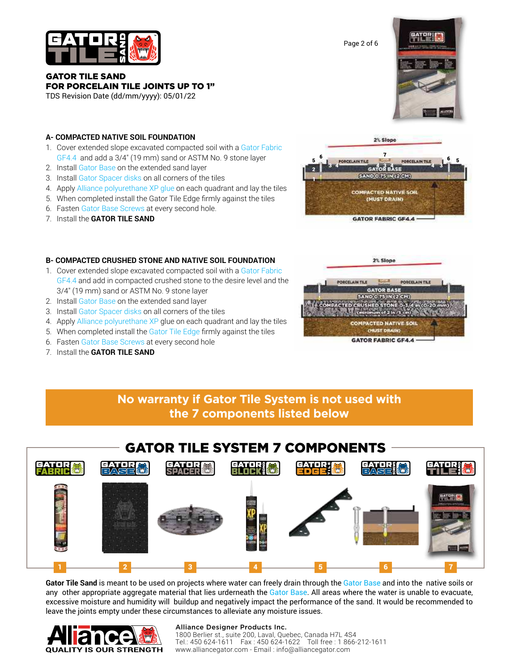

GATOR TILE SAND [FOR PORCELAIN TILE JOINTS UP TO 1"](https://alliancegator.com/gator-jointing-material/gator-tile-sand/)

TDS Revision Date (dd/mm/yyyy): 05/01/22



- 1. Cover extended slope excavated compacted soil with a [Gator Fabric](https://alliancegator.com/gator-grids-fabrics/gator-fabric-gf4-4/) [GF4.4](https://alliancegator.com/gator-grids-fabrics/gator-fabric-gf4-4/) and add a 3/4″ (19 mm) sand or ASTM No. 9 stone layer
- 2. Insta[ll Gator Base o](https://alliancegator.com/gator-base/)n the extended sand layer
- 3. Install [Gator Spacer disks o](https://alliancegator.com/gator-tile-system/)n all corners of the tiles
- 4. Apply [Alliance polyurethane XP glue](https://alliancegator.com/gator-binding-agents/gator-block-bond-xp/) on each quadrant and lay the tiles
- 5. When completed install the Gator Tile Edge firmly against the tiles
- 6. Fasten [Gator Base Screws](https://alliancegator.com/gator-edges-and-fasteners/gator-base-screws/) at every second hole.
- 7. Install the **GATOR TILE SAND**



#### **B- COMPACTED CRUSHED STONE AND NATIVE SOIL FOUNDATION**

- 1. Cover extended slope excavated compacted soil with a [Gator Fabric](https://alliancegator.com/gator-grids-fabrics/gator-fabric-gf4-4/)  [GF4.4 a](https://alliancegator.com/gator-grids-fabrics/gator-fabric-gf4-4/)nd add in compacted crushed stone to the desire level and the 3/4″ (19 mm) sand or ASTM No. 9 stone layer
- 2. Insta[ll Gator Base](https://alliancegator.com/gator-base/) on the extended sand layer
- 3. Install [Gator Spacer disks](https://alliancegator.com/gator-tile-system/) on all corners of the tiles
- 4. Apply [Alliance polyurethane XP](https://alliancegator.com/gator-binding-agents/gator-block-bond-xp/) glue on each quadrant and lay the tiles
- 5. When completed install the [Gator Tile Edge](https://alliancegator.com/gator-edges-and-fasteners/gator-tile-edge/) firmly against the tiles
- 6. Faste[n Gator Base Screws](https://alliancegator.com/gator-edges-and-fasteners/gator-base-screws/) at every second hole
- 7. Install the **GATOR TILE SAND**



## **No warranty if Gator Tile System is not used with the 7 components listed below**

## GATOR TILE SYSTEM 7 COMPONENTS **EATUR** FAHRE EATER EASE Severi (S vdele. 1 2 3 4 5 6 7

**Gator Tile Sand** is meant to be used on projects where water can freely drain through the [Gator Base](https://alliancegator.com/gator-base/) and into the native soils or any other appropriate aggregate material that lies urderneath the [Gator Base.](https://alliancegator.com/gator-base/) All areas where the water is unable to evacuate, excessive moisture and humidity will buildup and negatively impact the performance of the sand. It would be recommended to leave the joints empty under these circumstances to alleviate any moisture issues.



#### Alliance Designer Products Inc.

1800 Berlier st., suite 200, Laval, Quebec, Canada H7L 4S4 Tel.: 450 624-1611 Fax : 450 624-1622 Toll free : 1 866-212-1611 [www.alliancegator.com - E](http://www.alliancegator.com)mail : [info@alliancegator.com](mailto:info@alliancegator.com)

Page 2 of 6

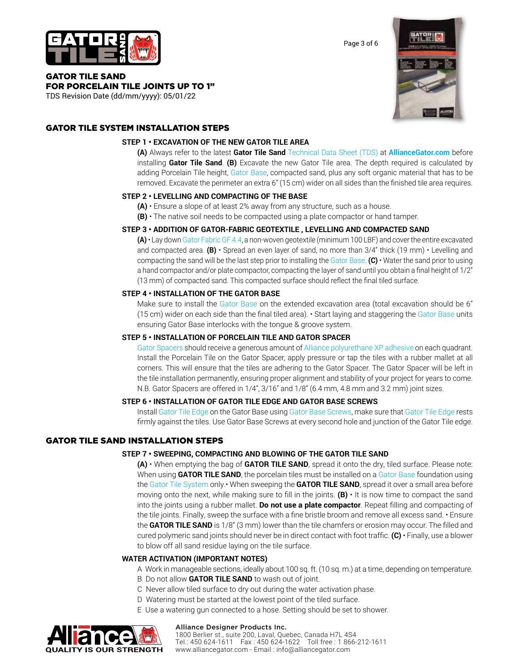

Page 3 of 6

#### GATOR TILE SAND [FOR PORCELAIN TILE JOINTS UP TO 1"](https://alliancegator.com/gator-jointing-material/gator-tile-sand/)

TDS Revision Date (dd/mm/yyyy): 05/01/22

GATOR TILE SYSTEM INSTALLATION STEPS

### **STEP 1 • EXCAVATION OF THE NEW GATOR TILE AREA**

**(A)** Always refer to the latest **Gator Tile Sand** [Technical Data Sheet \(TDS\)](https://alliancegator.com/tds/) at **[AllianceGator.com](https://alliancegator.com/)** before installing **Gator Tile Sand**. **(B)** Excavate the new Gator Tile area. The depth required is calculated by adding Porcelain Tile height, [Gator Base, c](https://alliancegator.com/gator-base/)ompacted sand, plus any soft organic material that has to be removed. Excavate the perimeter an extra 6" (15 cm) wider on all sides than the finished tile area requires.

### **STEP 2 • LEVELLING AND COMPACTING OF THE BASE**

- **(A)** Ensure a slope of at least 2% away from any structure, such as a house.
- **(B)**  The native soil needs to be compacted using a plate compactor or hand tamper.

#### **STEP 3 • ADDITION OF GATOR-FABRIC GEOTEXTILE , LEVELLING AND COMPACTED SAND**

**(A)** • Lay down [Gator Fabric GF 4.4,](https://alliancegator.com/gator-grids-fabrics/gator-fabric-gf4-4/) a non-woven geotextile (minimum 100 LBF) and cover the entire excavated and compacted area. **(B)** • Spread an even layer of sand, no more than 3/4" thick (19 mm) • Levelling and compacting the sand will be the last step prior to installing th[e Gator Base.](https://alliancegator.com/gator-base/) **(C)** • Water the sand prior to using a hand compactor and/or plate compactor, compacting the layer of sand until you obtain a final height of 1/2" (13 mm) of compacted sand. This compacted surface should reflect the final tiled surface.

#### **STEP 4 • INSTALLATION OF THE GATOR BASE**

Make sure to install the [Gator Base](https://alliancegator.com/gator-base/) on the extended excavation area (total excavation should be 6" (15 cm) wider on each side than the final tiled area). • Start laying and staggering the [Gator Base u](https://alliancegator.com/gator-base/)nits ensuring Gator Base interlocks with the tongue & groove system.

#### **STEP 5 • INSTALLATION OF PORCELAIN TILE AND GATOR SPACER**

[Gator Spacers s](https://alliancegator.com/gator-tile-system/)hould receive a generous amount of [Alliance polyurethane XP adhesive](https://alliancegator.com/gator-binding-agents/gator-block-bond-xp/) on each quadrant. Install the Porcelain Tile on the Gator Spacer, apply pressure or tap the tiles with a rubber mallet at all corners. This will ensure that the tiles are adhering to the Gator Spacer. The Gator Spacer will be left in the tile installation permanently, ensuring proper alignment and stability of your project for years to come. N.B. Gator Spacers are offered in 1/4", 3/16" and 1/8" (6.4 mm, 4.8 mm and 3.2 mm) joint sizes.

#### **STEP 6 • INSTALLATION OF GATOR TILE EDGE AND GATOR BASE SCREWS**

Install [Gator Tile Edge o](https://alliancegator.com/gator-edges-and-fasteners/gator-tile-edge/)n the Gator Base using [Gator Base Screws,](https://alliancegator.com/gator-edges-and-fasteners/gator-base-screws/) make sure that [Gator Tile Edge r](https://alliancegator.com/gator-edges-and-fasteners/gator-tile-edge/)ests firmly against the tiles. Use Gator Base Screws at every second hole and junction of the Gator Tile edge.

### GATOR TILE SAND INSTALLATION STEPS

#### **STEP 7 • SWEEPING, COMPACTING AND BLOWING OF THE GATOR TILE SAND**

**(A)** • When emptying the bag of **GATOR TILE SAND**, spread it onto the dry, tiled surface. Please note: When using **GATOR TILE SAND**, the porcelain tiles must be installed on a [Gator Base](https://alliancegator.com/gator-base/) foundation using the [Gator Tile System o](https://alliancegator.com/gator-tile-system/)nly.• When sweeping the **GATOR TILE SAND**, spread it over a small area before moving onto the next, while making sure to fill in the joints. **(B)** • It is now time to compact the sand into the joints using a rubber mallet. **Do not use a plate compactor**. Repeat filling and compacting of the tile joints. Finally, sweep the surface with a fine bristle broom and remove all excess sand. • Ensure the **GATOR TILE SAND** is 1/8" (3 mm) lower than the tile chamfers or erosion may occur. The filled and cured polymeric sand joints should never be in direct contact with foot traffic. **(C)** • Finally, use a blower to blow off all sand residue laying on the tile surface.

#### **WATER ACTIVATION (IMPORTANT NOTES)**

A Work in manageable sections, ideally about 100 sq. ft. (10 sq. m.) at a time, depending on temperature.

- B Do not allow **GATOR TILE SAND** to wash out of joint.
- C Never allow tiled surface to dry out during the water activation phase.
- D Watering must be started at the lowest point of the tiled surface.
- E Use a watering gun connected to a hose. Setting should be set to shower.



#### Alliance Designer Products Inc.

1800 Berlier st., suite 200, Laval, Quebec, Canada H7L 4S4 Tel.: 450 624-1611 Fax : 450 624-1622 Toll free : 1 866-212-1611 [www.alliancegator.com - E](http://www.alliancegator.com)mail : [info@alliancegator.com](mailto:info@alliancegator.com)

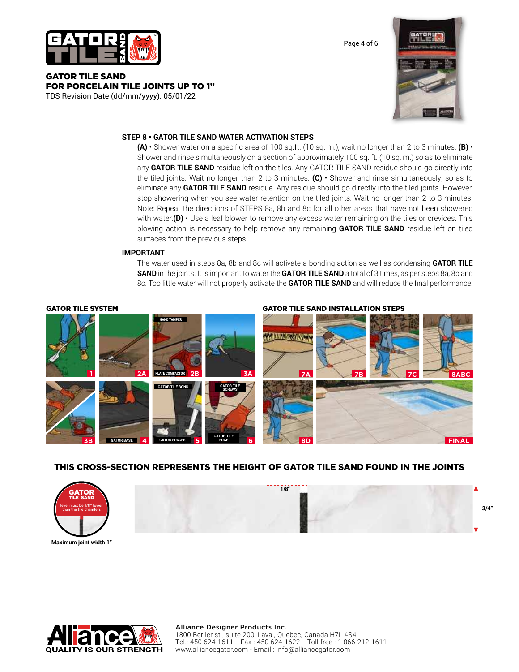

GATOR TILE SAND [FOR PORCELAIN TILE JOINTS UP TO 1"](https://alliancegator.com/gator-jointing-material/gator-tile-sand/)

TDS Revision Date (dd/mm/yyyy): 05/01/22



Page 4 of 6

#### **STEP 8 • GATOR TILE SAND WATER ACTIVATION STEPS**

**(A)** • Shower water on a specific area of 100 sq.ft. (10 sq. m.), wait no longer than 2 to 3 minutes. **(B)** • Shower and rinse simultaneously on a section of approximately 100 sq. ft. (10 sq. m.) so as to eliminate any **GATOR TILE SAND** residue left on the tiles. Any GATOR TILE SAND residue should go directly into the tiled joints. Wait no longer than 2 to 3 minutes. **(C)** • Shower and rinse simultaneously, so as to eliminate any **GATOR TILE SAND** residue. Any residue should go directly into the tiled joints. However, stop showering when you see water retention on the tiled joints. Wait no longer than 2 to 3 minutes. Note: Repeat the directions of STEPS 8a, 8b and 8c for all other areas that have not been showered with water.**(D)** • Use a leaf blower to remove any excess water remaining on the tiles or crevices. This blowing action is necessary to help remove any remaining **GATOR TILE SAND** residue left on tiled surfaces from the previous steps.

#### **IMPORTANT**

The water used in steps 8a, 8b and 8c will activate a bonding action as well as condensing **GATOR TILE SAND** in the joints. It is important to water the **GATOR TILE SAND** a total of 3 times, as per steps 8a, 8b and 8c. Too little water will not properly activate the **GATOR TILE SAND** and will reduce the final performance.

GATOR TILE SYSTEM GATOR TILE SAND INSTALLATION STEPS**HAND TAMPER** *<u>ALIMENTING</u>* **1 2A 3A 7A PLATE COMPACTOR 2B 7B 7C 8ABC GATOR TILE GATOR TILE BOND SCREWS GATOR TILE 8D FINAL 3B 4 5 6 EDGE GATOR BASE GATOR SPACER**

### THIS CROSS-SECTION REPRESENTS THE HEIGHT OF GATOR TILE SAND FOUND IN THE JOINTS



**Maximum joint width 1"**

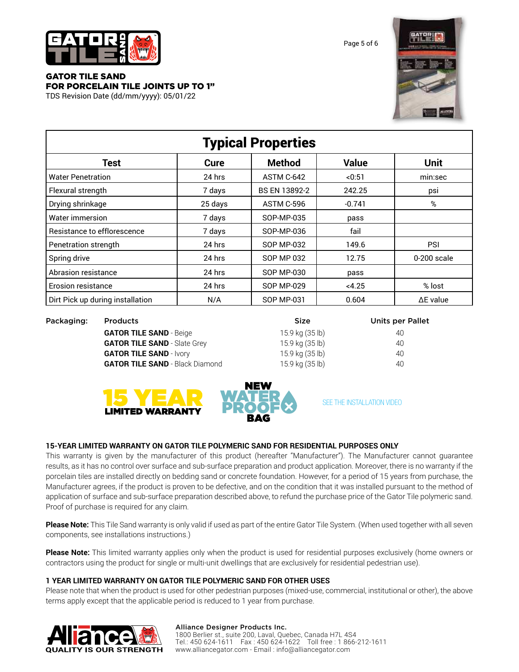

Page 5 of 6

### GATOR TILE SAND [FOR PORCELAIN TILE JOINTS UP TO 1"](https://alliancegator.com/gator-jointing-material/gator-tile-sand/)

TDS Revision Date (dd/mm/yyyy): 05/01/22



| <b>Typical Properties</b>        |         |                   |              |                  |  |  |  |
|----------------------------------|---------|-------------------|--------------|------------------|--|--|--|
| <b>Test</b>                      | Cure    | <b>Method</b>     | <b>Value</b> | <b>Unit</b>      |  |  |  |
| Water Penetration                | 24 hrs  | ASTM C-642        | < 0:51       | min:sec          |  |  |  |
| Flexural strength                | 7 days  | BS EN 13892-2     | 242.25       | psi              |  |  |  |
| Drying shrinkage                 | 25 days | ASTM C-596        | $-0.741$     | %                |  |  |  |
| Water immersion                  | 7 days  | SOP-MP-035        | pass         |                  |  |  |  |
| Resistance to efflorescence      | 7 days  | SOP-MP-036        | fail         |                  |  |  |  |
| Penetration strength             | 24 hrs  | SOP MP-032        | 149.6        | <b>PSI</b>       |  |  |  |
| Spring drive                     | 24 hrs  | <b>SOP MP 032</b> | 12.75        | 0-200 scale      |  |  |  |
| Abrasion resistance              | 24 hrs  | <b>SOP MP-030</b> | pass         |                  |  |  |  |
| <b>Erosion resistance</b>        | 24 hrs  | <b>SOP MP-029</b> | < 4.25       | % lost           |  |  |  |
| Dirt Pick up during installation | N/A     | <b>SOP MP-031</b> | 0.604        | $\Delta$ E value |  |  |  |

| Packaging: | <b>Products</b>                        | <b>Size</b>     | <b>Units per Pallet</b> |
|------------|----------------------------------------|-----------------|-------------------------|
|            | <b>GATOR TILE SAND - Beige</b>         | 15.9 kg (35 lb) | 40                      |
|            | <b>GATOR TILE SAND - Slate Grey</b>    | 15.9 kg (35 lb) | 40                      |
|            | <b>GATOR TILE SAND - Ivory</b>         | 15.9 kg (35 lb) | 40                      |
|            | <b>GATOR TILE SAND</b> - Black Diamond | 15.9 kg (35 lb) | 40                      |
|            |                                        |                 |                         |





[SEE THE INSTALLATION VIDEO](https://www.youtube.com/embed/9MhTWLrNUJQ)

### **15-YEAR LIMITED WARRANTY ON GATOR TILE POLYMERIC SAND FOR RESIDENTIAL PURPOSES ONLY**

This warranty is given by the manufacturer of this product (hereafter "Manufacturer"). The Manufacturer cannot guarantee results, as it has no control over surface and sub-surface preparation and product application. Moreover, there is no warranty if the porcelain tiles are installed directly on bedding sand or concrete foundation. However, for a period of 15 years from purchase, the Manufacturer agrees, if the product is proven to be defective, and on the condition that it was installed pursuant to the method of application of surface and sub-surface preparation described above, to refund the purchase price of the Gator Tile polymeric sand. Proof of purchase is required for any claim.

**Please Note:** This Tile Sand warranty is only valid if used as part of the entire Gator Tile System. (When used together with all seven components, see installations instructions.)

**Please Note:** This limited warranty applies only when the product is used for residential purposes exclusively (home owners or contractors using the product for single or multi-unit dwellings that are exclusively for residential pedestrian use).

### **1 YEAR LIMITED WARRANTY ON GATOR TILE POLYMERIC SAND FOR OTHER USES**

Please note that when the product is used for other pedestrian purposes (mixed-use, commercial, institutional or other), the above terms apply except that the applicable period is reduced to 1 year from purchase.



#### Alliance Designer Products Inc.

1800 Berlier st., suite 200, Laval, Quebec, Canada H7L 4S4 Tel.: 450 624-1611 Fax : 450 624-1622 Toll free : 1 866-212-1611 [www.alliancegator.com - E](http://www.alliancegator.com)mail : [info@alliancegator.com](mailto:info@alliancegator.com)